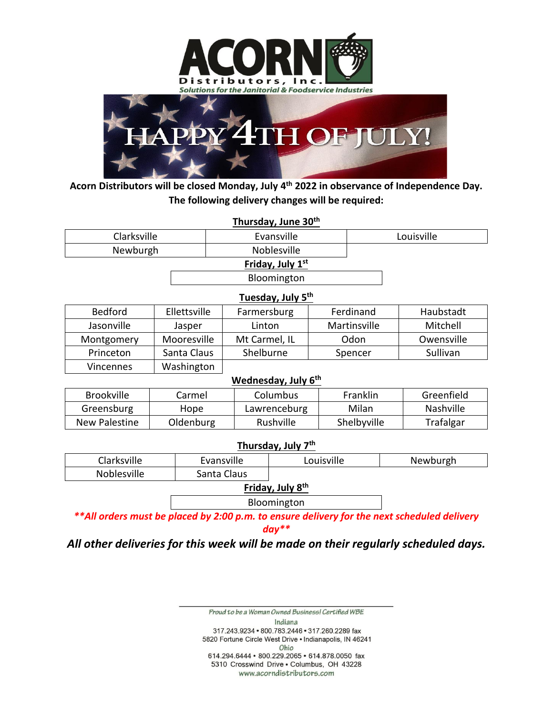



**Acorn Distributors will be closed Monday, July 4 th 2022 in observance of Independence Day. The following delivery changes will be required:**

| Thursday, June 30 <sup>th</sup> |                |                    |               |            |              |               |  |  |
|---------------------------------|----------------|--------------------|---------------|------------|--------------|---------------|--|--|
| Clarksville                     |                | Evansville         |               | Louisville |              |               |  |  |
| Newburgh                        |                | <b>Noblesville</b> |               |            |              |               |  |  |
| Friday, July 1st                |                |                    |               |            |              |               |  |  |
|                                 |                | Bloomington        |               |            |              |               |  |  |
| Tuesday, July 5 <sup>th</sup>   |                |                    |               |            |              |               |  |  |
| <b>Bedford</b>                  | Ellettsville   |                    | Farmersburg   |            | Ferdinand    | Haubstadt     |  |  |
| Jasonville                      | Jasper         |                    | Linton        |            | Martinsville | Mitchell      |  |  |
| Montgomery                      | Mooresville    |                    | Mt Carmel, IL |            | Odon         | Owensville    |  |  |
| Princeton                       | Santa Claus    |                    | Shelburne     | Spencer    |              | Sullivan      |  |  |
| Vincennes                       | Washington     |                    |               |            |              |               |  |  |
| Wednesday, July 6 <sup>th</sup> |                |                    |               |            |              |               |  |  |
| <b>Drookuillo</b>               | C <sub>1</sub> |                    | $C_{\alpha}$  |            | Eroplijn     | $C$ roonfiold |  |  |

| Brookville    | Carmel    | Columbus     | Franklin    | Greenfield |
|---------------|-----------|--------------|-------------|------------|
| Greensburg    | Hope      | Lawrenceburg | Milan       | Nashville  |
| New Palestine | Oldenburg | Rushville    | Shelbyville | Trafalgar  |

## **Thursday, July 7th**

| Clarksville                | Evansville | Louisville | Newburgh |
|----------------------------|------------|------------|----------|
| Noblesville<br>Santa Claus |            |            |          |

**Friday, July 8th**

Bloomington

*\*\*All orders must be placed by 2:00 p.m. to ensure delivery for the next scheduled delivery* 

*day\*\**

*All other deliveries for this week will be made on their regularly scheduled days.*

Proud to be a Woman Owned Business! Certified WBE Indiana 317.243.9234 · 800.783.2446 · 317.260.2289 fax 5820 Fortune Circle West Drive . Indianapolis, IN 46241 Ohio 614.294.6444 · 800.229.2065 · 614.878.0050 fax 5310 Crosswind Drive . Columbus, OH 43228 www.acorndistributors.com